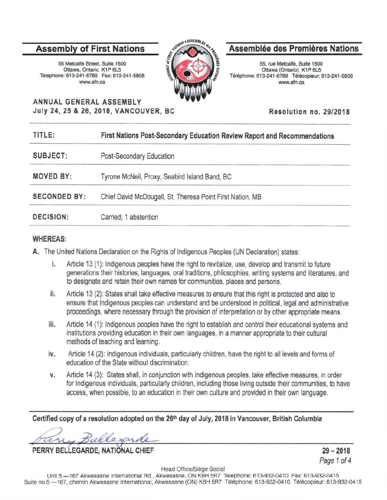# **Assembly of First Nations**

55 Metcalfe Street, Suite 1600 Ottawa, Ontario K1P 6L5 Telephone: 613-241-6789 Fax: 613-241-5808 www.afn.ca



# **Assemblee des Premieres Nations**

55, rue Metcalfe, Suite 1600 Ottawa (Ontario) K1P 6L5 Tel6phone: 613-241-6789 Telecopieur: 613-241-5808 www.afn.ca

**ANNUAL GENERAL ASSEMBLY July 24, 25 & 26, 2018, VANCOUVER, BC** 

**Resolution no. 29/2018** 

| TITLE:              | First Nations Post-Secondary Education Review Report and Recommendations |
|---------------------|--------------------------------------------------------------------------|
| SUBJECT:            | Post-Secondary Education                                                 |
| <b>MOVED BY:</b>    | Tyrone McNeil, Proxy, Seabird Island Band, BC                            |
| <b>SECONDED BY:</b> | Chief David McDougall, St. Theresa Point First Nation, MB                |
| <b>DECISION:</b>    | Carried: 1 abstention                                                    |
|                     |                                                                          |

### **WHEREAS:**

**A.** The United Nations Declaration on the Rights of Indigenous Peoples {UN Declaration) states:

- i. Article 13 (1): Indigenous peoples have the right to revitalize, use, develop and transmit to future generations their histories, languages, oral traditions, philosophies, writing systems and literatures, and to designate and retain their own names for communities, places and persons.
- ii. Article 13 (2): States shall take effective measures to ensure that this right is protected and also to ensure that Indigenous peoples can understand and be understood in political, legal and administrative proceedings, where necessary through the provision of interpretation or by other appropriate means.
- iii. Article 14 (1): Indigenous peoples have the right to establish and control their educational systems and institutions providing education in their own languages, in a manner appropriate to their cultural methods of teaching and learning.
- iv. Article 14 (2): Indigenous individuals, particularly children, have the right to all levels and forms of education of the State without discrimination.
- **v.** Article 14 (3): States shall, in conjunction with Indigenous peoples, take effective measures, in order for Indigenous individuals, particularly children, including those living outside their communities, to have access, when possible, to an education in their own culture and provided in their own language.

**Certified copy of a resolution adopted on the 26th day of July, 2018 in Vancouver, British Columbia** 

~,i!l.dh L **PERRY BELLEGARDE, NATIONAL CHIEF** 

**29-2018**  Page 1 of 4

Head Office/Siege Social

Unit 5-167 Akwesasne International Rd., Akwesasne, ON K6H 5R7 Telephone: 613-932-0410 Fax: 613-932-0415 Suite no 5 - 167, chemin Akwesasne International, Akwesasne (ON) K6H 5R7 Téléphone: 613-932-0410 Télécopieur: 613-932-0415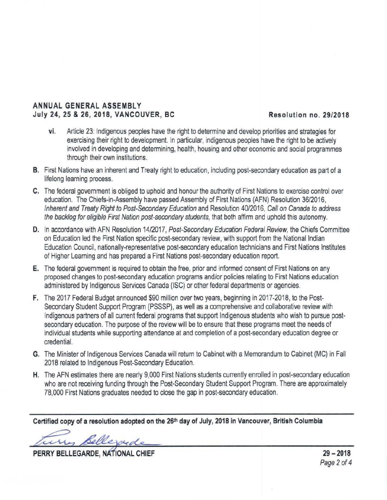## **ANNUAL GENERAL ASSEMBLY July 24, 25 & 26, 2018, VANCOUVER, BC Resolution no. 29/2018**

- vi. Article 23: Indigenous peoples have the right to determine and develop priorities and strategies for exercising their right to development. In particular, indigenous peoples have the right to be actively involved in developing and determining, health, housing and other economic and social programmes through their own institutions.
- **B.** First Nations have an inherent and Treaty right to education, including post-secondary education as part of a lifelong learning process.
- **C.** The federal government is obliged to uphold and honour the authority of First Nations to exercise control over education. The Chiefs-in-Assembly have passed Assembly of First Nations (AFN) Resolution 36/2016, Inherent and Treaty Right to Post-Secondary Education and Resolution 40/2016, Call on Canada to address the backlog for eligible First Nation post-secondary students, that both affirm and uphold this autonomy.
- **D.** In accordance with AFN Resolution 14/2017, Post-Secondary Education Federal Review, the Chiefs Committee on Education led the First Nation specific post-secondary review, with support from the National Indian Education Council, nationally-representative post-secondary education technicians and First Nations Institutes of Higher Learning and has prepared a First Nations post-secondary education report.
- **E.** The federal government is required to obtain the free, prior and informed consent of First Nations on any proposed changes to post-secondary education programs and/or policies relating to First Nations education administered by Indigenous Services Canada (ISC) or other federal departments or agencies.
- **F.** The 2017 Federal Budget announced \$90 million over two years, beginning in 2017-2018, to the Post-Secondary Student Support Program (PSSSP), as well as a comprehensive and collaborative review with Indigenous partners of all current federal programs that support Indigenous students who wish to pursue postsecondary education. The purpose of the review will be to ensure that these programs meet the needs of individual students while supporting attendance at and completion of a post-secondary education degree or credential.
- **G.** The Minister of Indigenous Services Canada will return to Cabinet with a Memorandum to Cabinet (MC) in Fall 2018 related to Indigenous Post-Secondary Education.
- **H.** The AFN estimates there are nearly 9,000 First Nations students currently enrolled in post-secondary education who are not receiving funding through the Post-Secondary Student Support Program. There are approximately 78,000 First Nations graduates needed to close the gap in post-secondary education.

Certified copy of a resolution adopted on the 26<sup>th</sup> day of July, 2018 in Vancouver, British Columbia

my Bellezoude

PERRY BELLEGARDE, NATIONAL CHIEF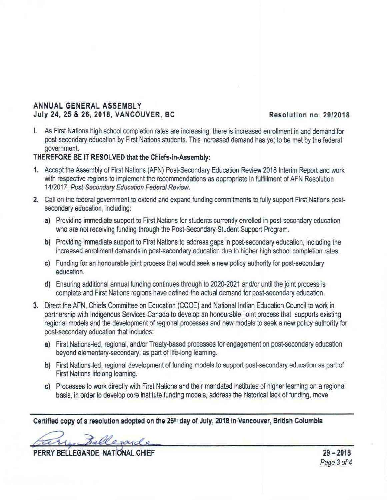# **ANNUAL GENERAL ASSEMBLY July 24, 25 & 26 , 2018, VANCOUVER, BC Resolution no. 29/2018**

I. As First Nations high school completion rates are increasing, there is increased enrollment in and demand for post-secondary education by First Nations students. This increased demand has yet to be met by the federal government.

## **THEREFORE BE IT RESOLVED that the Chiefs-in-Assembly:**

- **1.** Accept the Assembly of First Nations (AFN} Post-Secondary Education Review 2018 Interim Report and work with respective regions to implement the recommendations as appropriate in fulfillment of AFN Resolution 14/2017, Post-Secondary Education Federal Review.
- **2.** Call on the federal government to extend and expand funding commitments to fully support First Nations postsecondary education, including:
	- **a)** Providing immediate support to First Nations for students currently enrolled in post-secondary education who are not receiving funding through the Post-Secondary Student Support Program.
	- **b)** Providing immediate support to First Nations to address gaps in post-secondary education, including the increased enrollment demands in post-secondary education due to higher high school completion rates.
	- c) Funding for an honourable joint process that would seek a new policy authority for post-secondary education.
	- **d)** Ensuring additional annual funding continues through to 2020-2021 and/or until the joint process is complete and First Nations regions have defined the actual demand for post-secondary education.
- **3.** Direct the AFN, Chiefs Committee on Education (CCOE) and National Indian Education Council to work in partnership with Indigenous Services Canada to develop an honourable, joint process that supports existing regional models and the development of regional processes and new models to seek a new policy authority for post-secondary education that includes:
	- **a)** First Nations-led, regional, and/or Treaty-based processes for engagement on post-secondary education beyond elementary-secondary, as part of life-long learning.
	- **b)** First Nations-led, regional development of funding models to support post-secondary education as part of First Nations lifelong learning.
	- c) Processes to work directly with First Nations and their mandated institutes of higher learning on a regional basis, in order to develop core institute funding models, address the historical lack of funding, move

Certified copy of a resolution adopted on the 26<sup>th</sup> day of July, 2018 in Vancouver, British Columbia

Fare Bellevarde 19-2018